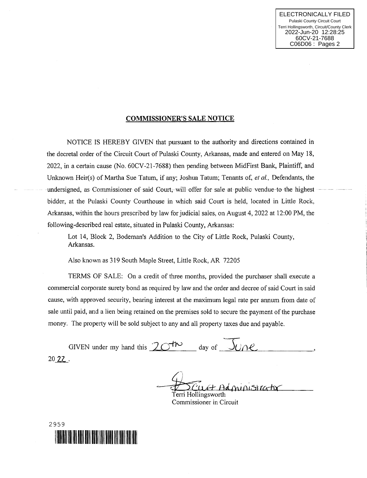## COMMISSIONER'S SALE NOTICE

NOTICE IS HEREBY GIVEN that pursuant to the authority and directions contained in the decretal order of the Circuit Court of Pulaski County, Arkansas, made and entered on May 18, 2022, in a certain cause (No. 60CV-21-7688) then pending between MidFirst Bank, Plaintiff, and Unknown Heir(s) of Martha Sue Tatum, if any; Joshua Tatum; Tenants of, et al., Defendants, the undersigned, as Commissioner of said Court, will offer for sale at public vendue-to the highest bidder, at the Pulaski County Couthouse in which said Court is held, located in Little Rock, Arkansas, within the hours prescribed by law for judicial sales, on August 4, 2022 at 12:00 PM, the following-described real estate, situated in Pulaski County, Arkansas:

Lot i4, Block 2, Bodeman's Addition to the City of Little Rock, Pulaski County, Arkansas.

Also known as 319 South Maple Street, Little Rock, AR 72205

TERMS OF SAIE: On a credit of three months, provided the purchaser shall execute <sup>a</sup> commercial corporate surety bond as required by law and the order and decree of said Court in said cause, with approved security, bearing interest at the maximum legal rate per annum from date of sale until paid, and a lien being retained on the premises sold to secure the payment of the purchase money. The property will be sold subject to any and all property taxes due and payable.

GIVEN under my hand this  $20$ <sup>th</sup> day of  $\sqrt{U}$  e 20?2.

ministrator Terri Hollingsworth

Commissioner in Circuit